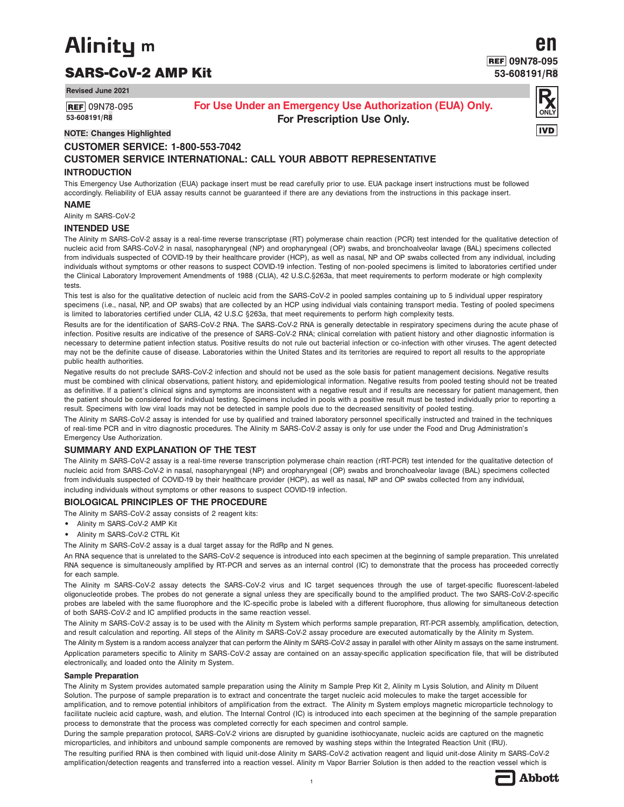# **Alinity** m

## SARS-CoV-2 AMP Kit

**Revised June 2021**

**REF** 09N78-095 **53-608191/R8**

## **For Use Under an Emergency Use Authorization (EUA) Only. For Prescription Use Only.**



**en**

**09N78-095 53-608191/R8**

## **NOTE: Changes Highlighted**

## **CUSTOMER SERVICE: 1-800-553-7042 CUSTOMER SERVICE INTERNATIONAL: CALL YOUR ABBOTT REPRESENTATIVE**

## **INTRODUCTION**

This Emergency Use Authorization (EUA) package insert must be read carefully prior to use. EUA package insert instructions must be followed accordingly. Reliability of EUA assay results cannot be guaranteed if there are any deviations from the instructions in this package insert.

## **NAME**

Alinity m SARS-CoV-2

## **INTENDED USE**

The Alinity m SARS-CoV-2 assay is a real-time reverse transcriptase (RT) polymerase chain reaction (PCR) test intended for the qualitative detection of nucleic acid from SARS-CoV-2 in nasal, nasopharyngeal (NP) and oropharyngeal (OP) swabs, and bronchoalveolar lavage (BAL) specimens collected from individuals suspected of COVID-19 by their healthcare provider (HCP), as well as nasal, NP and OP swabs collected from any individual, including individuals without symptoms or other reasons to suspect COVID-19 infection. Testing of non-pooled specimens is limited to laboratories certified under the Clinical Laboratory Improvement Amendments of 1988 (CLIA), 42 U.S.C.§263a, that meet requirements to perform moderate or high complexity tests.

This test is also for the qualitative detection of nucleic acid from the SARS-CoV-2 in pooled samples containing up to 5 individual upper respiratory specimens (i.e., nasal, NP, and OP swabs) that are collected by an HCP using individual vials containing transport media. Testing of pooled specimens is limited to laboratories certified under CLIA, 42 U.S.C §263a, that meet requirements to perform high complexity tests.

Results are for the identification of SARS-CoV-2 RNA. The SARS-CoV-2 RNA is generally detectable in respiratory specimens during the acute phase of infection. Positive results are indicative of the presence of SARS-CoV-2 RNA; clinical correlation with patient history and other diagnostic information is necessary to determine patient infection status. Positive results do not rule out bacterial infection or co-infection with other viruses. The agent detected may not be the definite cause of disease. Laboratories within the United States and its territories are required to report all results to the appropriate public health authorities.

Negative results do not preclude SARS-CoV-2 infection and should not be used as the sole basis for patient management decisions. Negative results must be combined with clinical observations, patient history, and epidemiological information. Negative results from pooled testing should not be treated as definitive. If a patient's clinical signs and symptoms are inconsistent with a negative result and if results are necessary for patient management, then the patient should be considered for individual testing. Specimens included in pools with a positive result must be tested individually prior to reporting a result. Specimens with low viral loads may not be detected in sample pools due to the decreased sensitivity of pooled testing.

The Alinity m SARS-CoV-2 assay is intended for use by qualified and trained laboratory personnel specifically instructed and trained in the techniques of real-time PCR and in vitro diagnostic procedures. The Alinity m SARS-CoV-2 assay is only for use under the Food and Drug Administration's Emergency Use Authorization.

## **SUMMARY AND EXPLANATION OF THE TEST**

The Alinity m SARS-CoV-2 assay is a real-time reverse transcription polymerase chain reaction (rRT-PCR) test intended for the qualitative detection of nucleic acid from SARS-CoV-2 in nasal, nasopharyngeal (NP) and oropharyngeal (OP) swabs and bronchoalveolar lavage (BAL) specimens collected from individuals suspected of COVID-19 by their healthcare provider (HCP), as well as nasal, NP and OP swabs collected from any individual, including individuals without symptoms or other reasons to suspect COVID-19 infection.

## **BIOLOGICAL PRINCIPLES OF THE PROCEDURE**

The Alinity m SARS-CoV-2 assay consists of 2 reagent kits:

- **•** Alinity m SARS-CoV-2 AMP Kit
- **•** Alinity m SARS-CoV-2 CTRL Kit
- The Alinity m SARS-CoV-2 assay is a dual target assay for the RdRp and N genes.

An RNA sequence that is unrelated to the SARS-CoV-2 sequence is introduced into each specimen at the beginning of sample preparation. This unrelated RNA sequence is simultaneously amplified by RT-PCR and serves as an internal control (IC) to demonstrate that the process has proceeded correctly for each sample.

The Alinity m SARS-CoV-2 assay detects the SARS-CoV-2 virus and IC target sequences through the use of target-specific fluorescent-labeled oligonucleotide probes. The probes do not generate a signal unless they are specifically bound to the amplified product. The two SARS-CoV-2-specific probes are labeled with the same fluorophore and the IC-specific probe is labeled with a different fluorophore, thus allowing for simultaneous detection of both SARS-CoV-2 and IC amplified products in the same reaction vessel.

The Alinity m SARS-CoV-2 assay is to be used with the Alinity m System which performs sample preparation, RT-PCR assembly, amplification, detection, and result calculation and reporting. All steps of the Alinity m SARS-CoV-2 assay procedure are executed automatically by the Alinity m System.

The Alinity m System is a random access analyzer that can perform the Alinity m SARS-CoV-2 assay in parallel with other Alinity m assays on the same instrument. Application parameters specific to Alinity m SARS-CoV-2 assay are contained on an assay-specific application specification file, that will be distributed electronically, and loaded onto the Alinity m System.

## **Sample Preparation**

The Alinity m System provides automated sample preparation using the Alinity m Sample Prep Kit 2, Alinity m Lysis Solution, and Alinity m Diluent Solution. The purpose of sample preparation is to extract and concentrate the target nucleic acid molecules to make the target accessible for amplification, and to remove potential inhibitors of amplification from the extract. The Alinity m System employs magnetic microparticle technology to facilitate nucleic acid capture, wash, and elution. The Internal Control (IC) is introduced into each specimen at the beginning of the sample preparation process to demonstrate that the process was completed correctly for each specimen and control sample.

During the sample preparation protocol, SARS-CoV-2 virions are disrupted by guanidine isothiocyanate, nucleic acids are captured on the magnetic microparticles, and inhibitors and unbound sample components are removed by washing steps within the Integrated Reaction Unit (IRU).

The resulting purified RNA is then combined with liquid unit-dose Alinity m SARS-CoV-2 activation reagent and liquid unit-dose Alinity m SARS-CoV-2 amplification/detection reagents and transferred into a reaction vessel. Alinity m Vapor Barrier Solution is then added to the reaction vessel which is

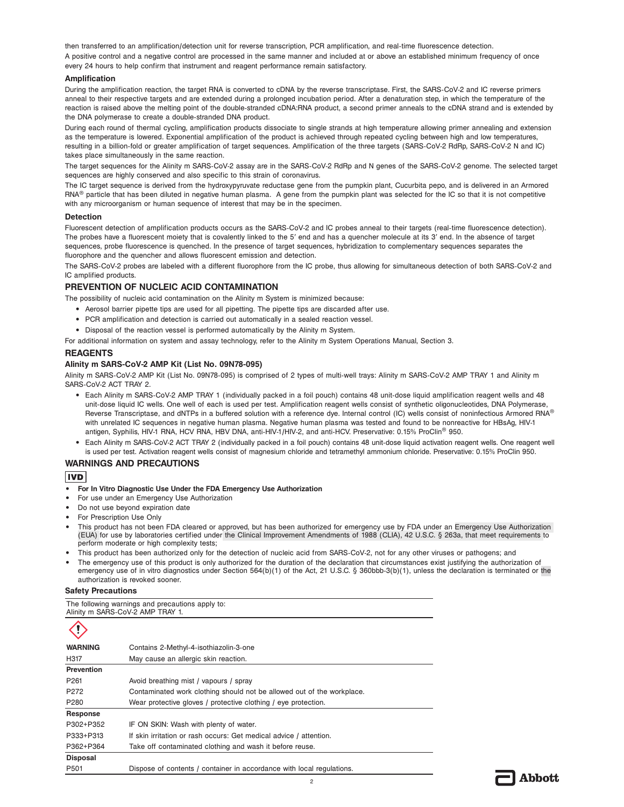then transferred to an amplification/detection unit for reverse transcription, PCR amplification, and real-time fluorescence detection. A positive control and a negative control are processed in the same manner and included at or above an established minimum frequency of once every 24 hours to help confirm that instrument and reagent performance remain satisfactory.

## **Amplification**

During the amplification reaction, the target RNA is converted to cDNA by the reverse transcriptase. First, the SARS-CoV-2 and IC reverse primers anneal to their respective targets and are extended during a prolonged incubation period. After a denaturation step, in which the temperature of the reaction is raised above the melting point of the double-stranded cDNA:RNA product, a second primer anneals to the cDNA strand and is extended by the DNA polymerase to create a double-stranded DNA product.

During each round of thermal cycling, amplification products dissociate to single strands at high temperature allowing primer annealing and extension as the temperature is lowered. Exponential amplification of the product is achieved through repeated cycling between high and low temperatures, resulting in a billion-fold or greater amplification of target sequences. Amplification of the three targets (SARS-CoV-2 RdRp, SARS-CoV-2 N and IC) takes place simultaneously in the same reaction.

The target sequences for the Alinity m SARS-CoV-2 assay are in the SARS-CoV-2 RdRp and N genes of the SARS-CoV-2 genome. The selected target sequences are highly conserved and also specific to this strain of coronavirus.

The IC target sequence is derived from the hydroxypyruvate reductase gene from the pumpkin plant, Cucurbita pepo, and is delivered in an Armored RNA<sup>®</sup> particle that has been diluted in negative human plasma. A gene from the pumpkin plant was selected for the IC so that it is not competitive with any microorganism or human sequence of interest that may be in the specimen.

## **Detection**

Fluorescent detection of amplification products occurs as the SARS-CoV-2 and IC probes anneal to their targets (real-time fluorescence detection). The probes have a fluorescent moiety that is covalently linked to the 5′ end and has a quencher molecule at its 3′ end. In the absence of target sequences, probe fluorescence is quenched. In the presence of target sequences, hybridization to complementary sequences separates the fluorophore and the quencher and allows fluorescent emission and detection.

The SARS-CoV-2 probes are labeled with a different fluorophore from the IC probe, thus allowing for simultaneous detection of both SARS-CoV-2 and IC amplified products.

## **PREVENTION OF NUCLEIC ACID CONTAMINATION**

The possibility of nucleic acid contamination on the Alinity m System is minimized because:

- **•** Aerosol barrier pipette tips are used for all pipetting. The pipette tips are discarded after use.
- **•** PCR amplification and detection is carried out automatically in a sealed reaction vessel.
- **•** Disposal of the reaction vessel is performed automatically by the Alinity m System.

For additional information on system and assay technology, refer to the Alinity m System Operations Manual, Section 3.

## **REAGENTS**

## **Alinity m SARS-CoV-2 AMP Kit (List No. 09N78-095)**

Alinity m SARS-CoV-2 AMP Kit (List No. 09N78-095) is comprised of 2 types of multi-well trays: Alinity m SARS-CoV-2 AMP TRAY 1 and Alinity m SARS-CoV-2 ACT TRAY 2.

- **•** Each Alinity m SARS-CoV-2 AMP TRAY 1 (individually packed in a foil pouch) contains 48 unit-dose liquid amplification reagent wells and 48 unit-dose liquid IC wells. One well of each is used per test. Amplification reagent wells consist of synthetic oligonucleotides, DNA Polymerase, Reverse Transcriptase, and dNTPs in a buffered solution with a reference dye. Internal control (IC) wells consist of noninfectious Armored RNA® with unrelated IC sequences in negative human plasma. Negative human plasma was tested and found to be nonreactive for HBsAg, HIV-1 antigen, Syphilis, HIV-1 RNA, HCV RNA, HBV DNA, anti-HIV-1/HIV-2, and anti-HCV. Preservative: 0.15% ProClin® 950.
- **•** Each Alinity m SARS-CoV-2 ACT TRAY 2 (individually packed in a foil pouch) contains 48 unit-dose liquid activation reagent wells. One reagent well is used per test. Activation reagent wells consist of magnesium chloride and tetramethyl ammonium chloride. Preservative: 0.15% ProClin 950.

## **WARNINGS AND PRECAUTIONS**

## **IVD**

- **• For In Vitro Diagnostic Use Under the FDA Emergency Use Authorization**
- **•** For use under an Emergency Use Authorization
- **•** Do not use beyond expiration date
- **•** For Prescription Use Only
- **•** This product has not been FDA cleared or approved, but has been authorized for emergency use by FDA under an Emergency Use Authorization (EUA) for use by laboratories certified under the Clinical Improvement Amendments of 1988 (CLIA), 42 U.S.C. § 263a, that meet requirements to perform moderate or high complexity tests;
- **•** This product has been authorized only for the detection of nucleic acid from SARS-CoV-2, not for any other viruses or pathogens; and
- **•** The emergency use of this product is only authorized for the duration of the declaration that circumstances exist justifying the authorization of emergency use of in vitro diagnostics under Section 564(b)(1) of the Act, 21 U.S.C. § 360bbb-3(b)(1), unless the declaration is terminated or the authorization is revoked sooner.

## **Safety Precautions**

The following warnings and precautions apply to: Alinity m SARS-CoV-2 AMP TRAY 1.

| <b>WARNING</b>    | Contains 2-Methyl-4-isothiazolin-3-one                                 |
|-------------------|------------------------------------------------------------------------|
| H317              | May cause an allergic skin reaction.                                   |
| <b>Prevention</b> |                                                                        |
| P <sub>261</sub>  | Avoid breathing mist / vapours / spray                                 |
| P272              | Contaminated work clothing should not be allowed out of the workplace. |
| P280              | Wear protective gloves / protective clothing / eye protection.         |
| Response          |                                                                        |
| P302+P352         | IF ON SKIN: Wash with plenty of water.                                 |
| P333+P313         | If skin irritation or rash occurs: Get medical advice / attention.     |
| P362+P364         | Take off contaminated clothing and wash it before reuse.               |
| <b>Disposal</b>   |                                                                        |
| P501              | Dispose of contents / container in accordance with local regulations.  |

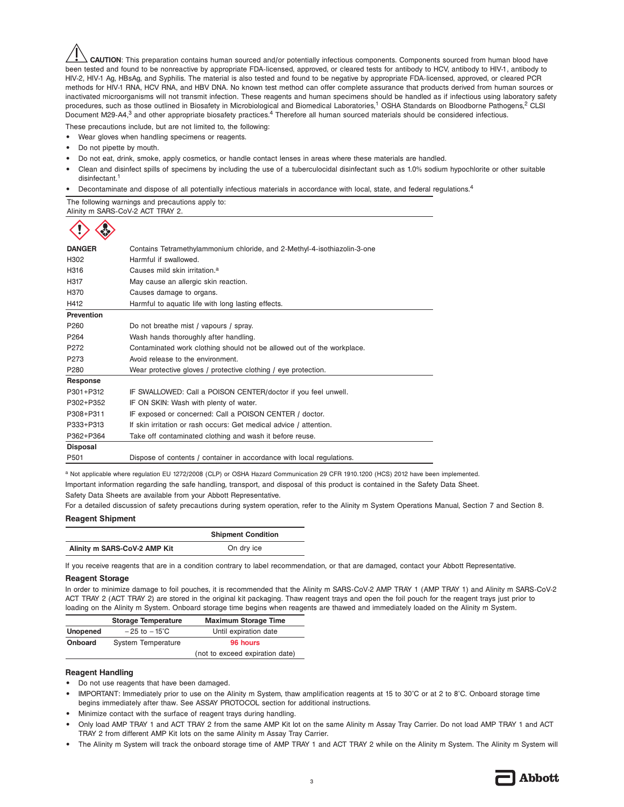**CAUTION**: This preparation contains human sourced and/or potentially infectious components. Components sourced from human blood have been tested and found to be nonreactive by appropriate FDA-licensed, approved, or cleared tests for antibody to HCV, antibody to HIV-1, antibody to HIV-2, HIV-1 Ag, HBsAg, and Syphilis. The material is also tested and found to be negative by appropriate FDA-licensed, approved, or cleared PCR methods for HIV-1 RNA, HCV RNA, and HBV DNA. No known test method can offer complete assurance that products derived from human sources or inactivated microorganisms will not transmit infection. These reagents and human specimens should be handled as if infectious using laboratory safety procedures, such as those outlined in Biosafety in Microbiological and Biomedical Laboratories,<sup>1</sup> OSHA Standards on Bloodborne Pathogens,<sup>2</sup> CLSI Document M29-A4,<sup>3</sup> and other appropriate biosafety practices.<sup>4</sup> Therefore all human sourced materials should be considered infectious.

These precautions include, but are not limited to, the following:

- **•** Wear gloves when handling specimens or reagents.
- **•** Do not pipette by mouth.
- **•** Do not eat, drink, smoke, apply cosmetics, or handle contact lenses in areas where these materials are handled.
- **•** Clean and disinfect spills of specimens by including the use of a tuberculocidal disinfectant such as 1.0% sodium hypochlorite or other suitable disinfectant.<sup>1</sup>
- **•** Decontaminate and dispose of all potentially infectious materials in accordance with local, state, and federal regulations.<sup>4</sup>

The following warnings and precautions apply to: Alinity m SARS-CoV-2 ACT TRAY 2.



| Contains Tetramethylammonium chloride, and 2-Methyl-4-isothiazolin-3-one |  |  |
|--------------------------------------------------------------------------|--|--|
| Harmful if swallowed.                                                    |  |  |
| Causes mild skin irritation. <sup>a</sup>                                |  |  |
| May cause an allergic skin reaction.                                     |  |  |
| Causes damage to organs.                                                 |  |  |
| Harmful to aquatic life with long lasting effects.                       |  |  |
|                                                                          |  |  |
| Do not breathe mist / vapours / spray.                                   |  |  |
| Wash hands thoroughly after handling.                                    |  |  |
| Contaminated work clothing should not be allowed out of the workplace.   |  |  |
| Avoid release to the environment.                                        |  |  |
| Wear protective gloves / protective clothing / eye protection.           |  |  |
|                                                                          |  |  |
| IF SWALLOWED: Call a POISON CENTER/doctor if you feel unwell.            |  |  |
| IF ON SKIN: Wash with plenty of water.                                   |  |  |
| IF exposed or concerned: Call a POISON CENTER / doctor.                  |  |  |
| If skin irritation or rash occurs: Get medical advice / attention.       |  |  |
| Take off contaminated clothing and wash it before reuse.                 |  |  |
|                                                                          |  |  |
| Dispose of contents / container in accordance with local regulations.    |  |  |
|                                                                          |  |  |

a Not applicable where regulation EU 1272/2008 (CLP) or OSHA Hazard Communication 29 CFR 1910.1200 (HCS) 2012 have been implemented. Important information regarding the safe handling, transport, and disposal of this product is contained in the Safety Data Sheet.

Safety Data Sheets are available from your Abbott Representative.

For a detailed discussion of safety precautions during system operation, refer to the Alinity m System Operations Manual, Section 7 and Section 8.

## **Reagent Shipment**

|                              | <b>Shipment Condition</b> |
|------------------------------|---------------------------|
| Alinity m SARS-CoV-2 AMP Kit | On dry ice                |

If you receive reagents that are in a condition contrary to label recommendation, or that are damaged, contact your Abbott Representative.

#### **Reagent Storage**

In order to minimize damage to foil pouches, it is recommended that the Alinity m SARS-CoV-2 AMP TRAY 1 (AMP TRAY 1) and Alinity m SARS-CoV-2 ACT TRAY 2 (ACT TRAY 2) are stored in the original kit packaging. Thaw reagent trays and open the foil pouch for the reagent trays just prior to loading on the Alinity m System. Onboard storage time begins when reagents are thawed and immediately loaded on the Alinity m System.

|                 | <b>Storage Temperature</b> | <b>Maximum Storage Time</b>     |
|-----------------|----------------------------|---------------------------------|
| <b>Unopened</b> | $-25$ to $-15^{\circ}$ C   | Until expiration date           |
| <b>Onboard</b>  | <b>System Temperature</b>  | 96 hours                        |
|                 |                            | (not to exceed expiration date) |

## **Reagent Handling**

- **•** Do not use reagents that have been damaged.
- **•** IMPORTANT: Immediately prior to use on the Alinity m System, thaw amplification reagents at 15 to 30°C or at 2 to 8°C. Onboard storage time begins immediately after thaw. See ASSAY PROTOCOL section for additional instructions.
- **•** Minimize contact with the surface of reagent trays during handling.
- **•** Only load AMP TRAY 1 and ACT TRAY 2 from the same AMP Kit lot on the same Alinity m Assay Tray Carrier. Do not load AMP TRAY 1 and ACT TRAY 2 from different AMP Kit lots on the same Alinity m Assay Tray Carrier.
- **•** The Alinity m System will track the onboard storage time of AMP TRAY 1 and ACT TRAY 2 while on the Alinity m System. The Alinity m System will

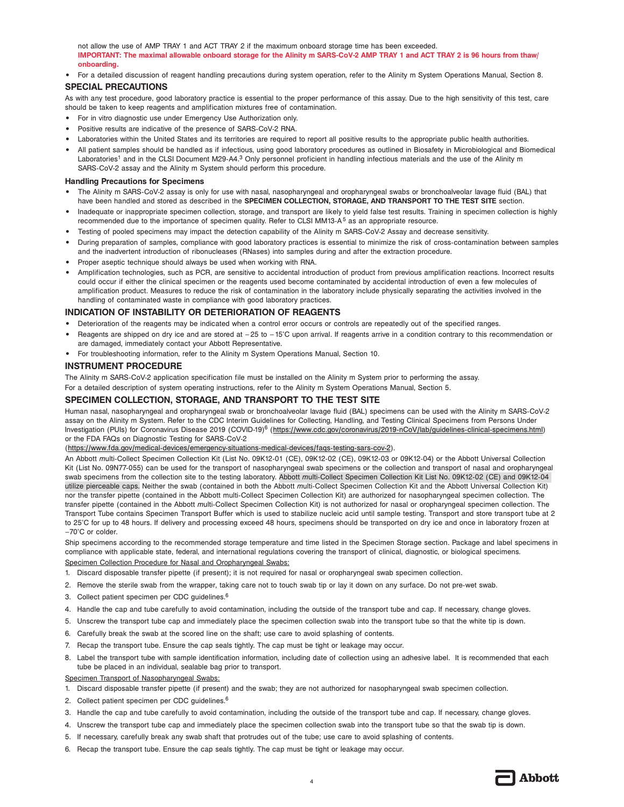not allow the use of AMP TRAY 1 and ACT TRAY 2 if the maximum onboard storage time has been exceeded. **IMPORTANT: The maximal allowable onboard storage for the Alinity m SARS-CoV-2 AMP TRAY 1 and ACT TRAY 2 is 96 hours from thaw/ onboarding.** 

**•** For a detailed discussion of reagent handling precautions during system operation, refer to the Alinity m System Operations Manual, Section 8.

## **SPECIAL PRECAUTIONS**

As with any test procedure, good laboratory practice is essential to the proper performance of this assay. Due to the high sensitivity of this test, care should be taken to keep reagents and amplification mixtures free of contamination.

- **•** For in vitro diagnostic use under Emergency Use Authorization only.
- **•** Positive results are indicative of the presence of SARS-CoV-2 RNA.
- **•** Laboratories within the United States and its territories are required to report all positive results to the appropriate public health authorities.
- **•** All patient samples should be handled as if infectious, using good laboratory procedures as outlined in Biosafety in Microbiological and Biomedical Laboratories<sup>1</sup> and in the CLSI Document M29-A4.<sup>3</sup> Only personnel proficient in handling infectious materials and the use of the Alinity m SARS-CoV-2 assay and the Alinity m System should perform this procedure.

## **Handling Precautions for Specimens**

- **•** The Alinity m SARS-CoV-2 assay is only for use with nasal, nasopharyngeal and oropharyngeal swabs or bronchoalveolar lavage fluid (BAL) that have been handled and stored as described in the **SPECIMEN COLLECTION, STORAGE, AND TRANSPORT TO THE TEST SITE** section.
- **•** Inadequate or inappropriate specimen collection, storage, and transport are likely to yield false test results. Training in specimen collection is highly recommended due to the importance of specimen quality. Refer to CLSI MM13-A<sup>5</sup> as an appropriate resource.
- **•** Testing of pooled specimens may impact the detection capability of the Alinity m SARS-CoV-2 Assay and decrease sensitivity.
- **•** During preparation of samples, compliance with good laboratory practices is essential to minimize the risk of cross-contamination between samples and the inadvertent introduction of ribonucleases (RNases) into samples during and after the extraction procedure.
- **•** Proper aseptic technique should always be used when working with RNA.
- **•** Amplification technologies, such as PCR, are sensitive to accidental introduction of product from previous amplification reactions. Incorrect results could occur if either the clinical specimen or the reagents used become contaminated by accidental introduction of even a few molecules of amplification product. Measures to reduce the risk of contamination in the laboratory include physically separating the activities involved in the handling of contaminated waste in compliance with good laboratory practices.

## **INDICATION OF INSTABILITY OR DETERIORATION OF REAGENTS**

- **•** Deterioration of the reagents may be indicated when a control error occurs or controls are repeatedly out of the specified ranges.
- Reagents are shipped on dry ice and are stored at  $-25$  to  $-15^{\circ}$ C upon arrival. If reagents arrive in a condition contrary to this recommendation or are damaged, immediately contact your Abbott Representative.
- **•** For troubleshooting information, refer to the Alinity m System Operations Manual, Section 10.

## **INSTRUMENT PROCEDURE**

The Alinity m SARS-CoV-2 application specification file must be installed on the Alinity m System prior to performing the assay.

For a detailed description of system operating instructions, refer to the Alinity m System Operations Manual, Section 5.

## **SPECIMEN COLLECTION, STORAGE, AND TRANSPORT TO THE TEST SITE**

Human nasal, nasopharyngeal and oropharyngeal swab or bronchoalveolar lavage fluid (BAL) specimens can be used with the Alinity m SARS-CoV-2 assay on the Alinity m System. Refer to the CDC Interim Guidelines for Collecting, Handling, and Testing Clinical Specimens from Persons Under Investigation (PUIs) for Coronavirus Disease 2019 (COVID-19)<sup>6</sup> (https://www.cdc.gov/coronavirus/2019-nCoV/lab/guidelines-clinical-specimens.html) or the FDA FAQs on Diagnostic Testing for SARS-CoV-2

(https://www.fda.gov/medical-devices/emergency-situations-medical-devices/faqs-testing-sars-cov-2).

An Abbott *m*ulti-Collect Specimen Collection Kit (List No. 09K12-01 (CE), 09K12-02 (CE), 09K12-03 or 09K12-04) or the Abbott Universal Collection Kit (List No. 09N77-055) can be used for the transport of nasopharyngeal swab specimens or the collection and transport of nasal and oropharyngeal swab specimens from the collection site to the testing laboratory. Abbott *m*ulti-Collect Specimen Collection Kit List No. 09K12-02 (CE) and 09K12-04 utilize pierceable caps. Neither the swab (contained in both the Abbott *m*ulti-Collect Specimen Collection Kit and the Abbott Universal Collection Kit) nor the transfer pipette (contained in the Abbott multi-Collect Specimen Collection Kit) are authorized for nasopharyngeal specimen collection. The transfer pipette (contained in the Abbott *m*ulti-Collect Specimen Collection Kit) is not authorized for nasal or oropharyngeal specimen collection. The Transport Tube contains Specimen Transport Buffer which is used to stabilize nucleic acid until sample testing. Transport and store transport tube at 2 to 25°C for up to 48 hours. If delivery and processing exceed 48 hours, specimens should be transported on dry ice and once in laboratory frozen at –70°C or colder.

Ship specimens according to the recommended storage temperature and time listed in the Specimen Storage section. Package and label specimens in compliance with applicable state, federal, and international regulations covering the transport of clinical, diagnostic, or biological specimens. Specimen Collection Procedure for Nasal and Oropharyngeal Swabs:

- 1. Discard disposable transfer pipette (if present); it is not required for nasal or oropharyngeal swab specimen collection.
- 2. Remove the sterile swab from the wrapper, taking care not to touch swab tip or lay it down on any surface. Do not pre-wet swab.
- 3. Collect patient specimen per CDC guidelines.6
- 4. Handle the cap and tube carefully to avoid contamination, including the outside of the transport tube and cap. If necessary, change gloves.
- 5. Unscrew the transport tube cap and immediately place the specimen collection swab into the transport tube so that the white tip is down.
- 6. Carefully break the swab at the scored line on the shaft; use care to avoid splashing of contents.
- 7. Recap the transport tube. Ensure the cap seals tightly. The cap must be tight or leakage may occur.
- 8. Label the transport tube with sample identification information, including date of collection using an adhesive label. It is recommended that each tube be placed in an individual, sealable bag prior to transport.

Specimen Transport of Nasopharyngeal Swabs:

- 1. Discard disposable transfer pipette (if present) and the swab; they are not authorized for nasopharyngeal swab specimen collection.
- 2. Collect patient specimen per CDC guidelines.<sup>6</sup>
- 3. Handle the cap and tube carefully to avoid contamination, including the outside of the transport tube and cap. If necessary, change gloves.
- 4. Unscrew the transport tube cap and immediately place the specimen collection swab into the transport tube so that the swab tip is down.
- 5. If necessary, carefully break any swab shaft that protrudes out of the tube; use care to avoid splashing of contents.
- 6. Recap the transport tube. Ensure the cap seals tightly. The cap must be tight or leakage may occur.

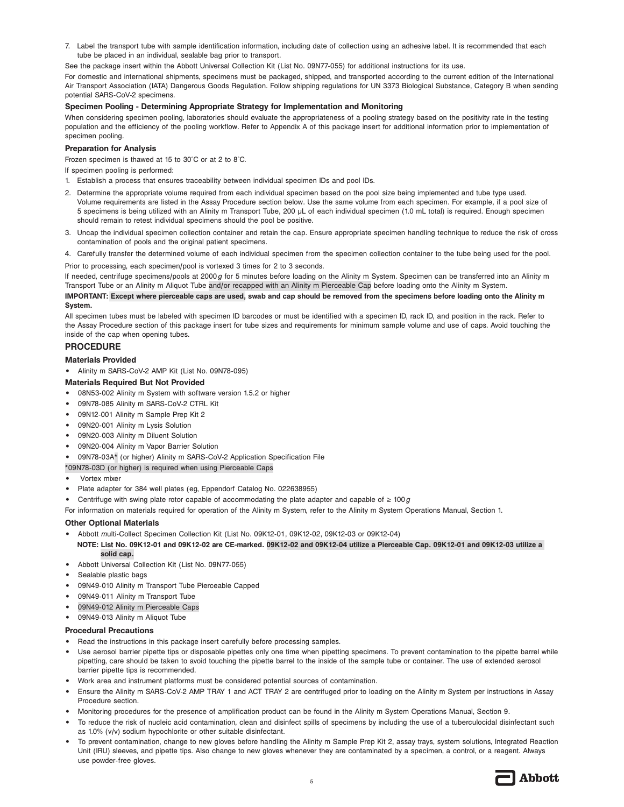7. Label the transport tube with sample identification information, including date of collection using an adhesive label. It is recommended that each tube be placed in an individual, sealable bag prior to transport.

See the package insert within the Abbott Universal Collection Kit (List No. 09N77-055) for additional instructions for its use.

For domestic and international shipments, specimens must be packaged, shipped, and transported according to the current edition of the International Air Transport Association (IATA) Dangerous Goods Regulation. Follow shipping regulations for UN 3373 Biological Substance, Category B when sending potential SARS-CoV-2 specimens.

## **Specimen Pooling - Determining Appropriate Strategy for Implementation and Monitoring**

When considering specimen pooling, laboratories should evaluate the appropriateness of a pooling strategy based on the positivity rate in the testing population and the efficiency of the pooling workflow. Refer to Appendix A of this package insert for additional information prior to implementation of specimen pooling.

## **Preparation for Analysis**

Frozen specimen is thawed at 15 to 30°C or at 2 to 8°C.

If specimen pooling is performed:

- 1. Establish a process that ensures traceability between individual specimen IDs and pool IDs.
- 2. Determine the appropriate volume required from each individual specimen based on the pool size being implemented and tube type used. Volume requirements are listed in the Assay Procedure section below. Use the same volume from each specimen. For example, if a pool size of 5 specimens is being utilized with an Alinity m Transport Tube, 200 μL of each individual specimen (1.0 mL total) is required. Enough specimen should remain to retest individual specimens should the pool be positive.
- 3. Uncap the individual specimen collection container and retain the cap. Ensure appropriate specimen handling technique to reduce the risk of cross contamination of pools and the original patient specimens.
- 4. Carefully transfer the determined volume of each individual specimen from the specimen collection container to the tube being used for the pool.

Prior to processing, each specimen/pool is vortexed 3 times for 2 to 3 seconds.

If needed, centrifuge specimens/pools at 2000*g* for 5 minutes before loading on the Alinity m System. Specimen can be transferred into an Alinity m Transport Tube or an Alinity m Aliquot Tube and/or recapped with an Alinity m Pierceable Cap before loading onto the Alinity m System.

## **IMPORTANT: Except where pierceable caps are used, swab and cap should be removed from the specimens before loading onto the Alinity m System.**

All specimen tubes must be labeled with specimen ID barcodes or must be identified with a specimen ID, rack ID, and position in the rack. Refer to the Assay Procedure section of this package insert for tube sizes and requirements for minimum sample volume and use of caps. Avoid touching the inside of the cap when opening tubes.

## **PROCEDURE**

## **Materials Provided**

- **•** Alinity m SARS-CoV-2 AMP Kit (List No. 09N78-095)
- **Materials Required But Not Provided**
- **•** 08N53-002 Alinity m System with software version 1.5.2 or higher
- **•** 09N78-085 Alinity m SARS-CoV-2 CTRL Kit
- **•** 09N12-001 Alinity m Sample Prep Kit 2
- **•** 09N20-001 Alinity m Lysis Solution
- **•** 09N20-003 Alinity m Diluent Solution
- **•** 09N20-004 Alinity m Vapor Barrier Solution

**•** 09N78-03A\* (or higher) Alinity m SARS-CoV-2 Application Specification File

- \*09N78-03D (or higher) is required when using Pierceable Caps
- **•** Vortex mixer
- **•** Plate adapter for 384 well plates (eg, Eppendorf Catalog No. 022638955)
- **•** Centrifuge with swing plate rotor capable of accommodating the plate adapter and capable of ≥ 100*g*

For information on materials required for operation of the Alinity m System, refer to the Alinity m System Operations Manual, Section 1.

## **Other Optional Materials**

- **•** Abbott *m*ulti-Collect Specimen Collection Kit (List No. 09K12-01, 09K12-02, 09K12-03 or 09K12-04)
- **NOTE: List No. 09K12-01 and 09K12-02 are CE-marked. 09K12-02 and 09K12-04 utilize a Pierceable Cap. 09K12-01 and 09K12-03 utilize a solid cap.**
- **•** Abbott Universal Collection Kit (List No. 09N77-055)
- **•** Sealable plastic bags
- **•** 09N49-010 Alinity m Transport Tube Pierceable Capped
- **•** 09N49-011 Alinity m Transport Tube
- **•** 09N49-012 Alinity m Pierceable Caps
- **•** 09N49-013 Alinity m Aliquot Tube

## **Procedural Precautions**

- **•** Read the instructions in this package insert carefully before processing samples.
- **•** Use aerosol barrier pipette tips or disposable pipettes only one time when pipetting specimens. To prevent contamination to the pipette barrel while pipetting, care should be taken to avoid touching the pipette barrel to the inside of the sample tube or container. The use of extended aerosol barrier pipette tips is recommended.
- **•** Work area and instrument platforms must be considered potential sources of contamination.
- **•** Ensure the Alinity m SARS-CoV-2 AMP TRAY 1 and ACT TRAY 2 are centrifuged prior to loading on the Alinity m System per instructions in Assay Procedure section.
- **•** Monitoring procedures for the presence of amplification product can be found in the Alinity m System Operations Manual, Section 9.
- **•** To reduce the risk of nucleic acid contamination, clean and disinfect spills of specimens by including the use of a tuberculocidal disinfectant such as 1.0% (v/v) sodium hypochlorite or other suitable disinfectant.
- **•** To prevent contamination, change to new gloves before handling the Alinity m Sample Prep Kit 2, assay trays, system solutions, Integrated Reaction Unit (IRU) sleeves, and pipette tips. Also change to new gloves whenever they are contaminated by a specimen, a control, or a reagent. Always use powder-free gloves.

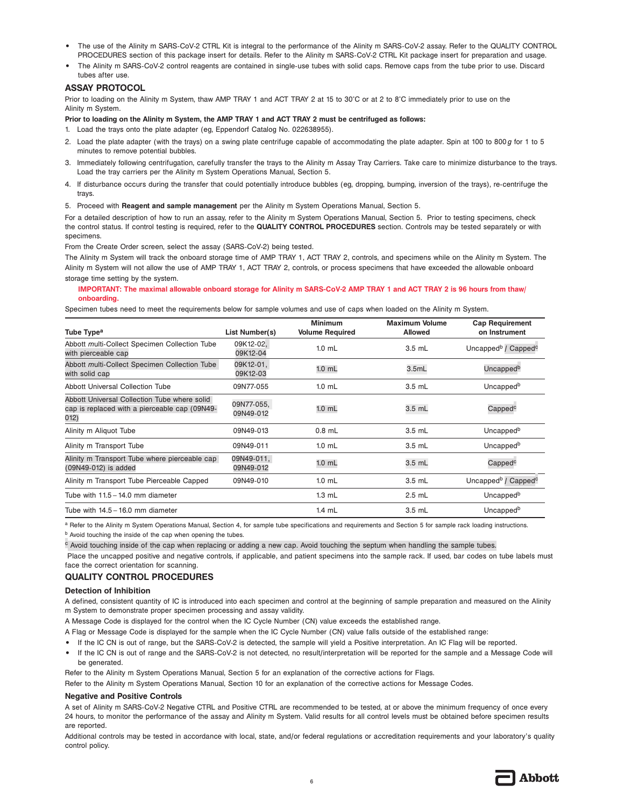- **•** The use of the Alinity m SARS-CoV-2 CTRL Kit is integral to the performance of the Alinity m SARS-CoV-2 assay. Refer to the QUALITY CONTROL PROCEDURES section of this package insert for details. Refer to the Alinity m SARS-CoV-2 CTRL Kit package insert for preparation and usage.
- **•** The Alinity m SARS-CoV-2 control reagents are contained in single-use tubes with solid caps. Remove caps from the tube prior to use. Discard tubes after use.

## **ASSAY PROTOCOL**

Prior to loading on the Alinity m System, thaw AMP TRAY 1 and ACT TRAY 2 at 15 to 30°C or at 2 to 8°C immediately prior to use on the Alinity m System.

**Prior to loading on the Alinity m System, the AMP TRAY 1 and ACT TRAY 2 must be centrifuged as follows:**

- 1. Load the trays onto the plate adapter (eg, Eppendorf Catalog No. 022638955).
- 2. Load the plate adapter (with the trays) on a swing plate centrifuge capable of accommodating the plate adapter. Spin at 100 to 800*g* for 1 to 5 minutes to remove potential bubbles.
- 3. Immediately following centrifugation, carefully transfer the trays to the Alinity m Assay Tray Carriers. Take care to minimize disturbance to the trays. Load the tray carriers per the Alinity m System Operations Manual, Section 5.
- 4. If disturbance occurs during the transfer that could potentially introduce bubbles (eg, dropping, bumping, inversion of the trays), re-centrifuge the trays.
- 5. Proceed with **Reagent and sample management** per the Alinity m System Operations Manual, Section 5.

For a detailed description of how to run an assay, refer to the Alinity m System Operations Manual, Section 5. Prior to testing specimens, check the control status. If control testing is required, refer to the **QUALITY CONTROL PROCEDURES** section. Controls may be tested separately or with specimens.

From the Create Order screen, select the assay (SARS-CoV-2) being tested.

The Alinity m System will track the onboard storage time of AMP TRAY 1, ACT TRAY 2, controls, and specimens while on the Alinity m System. The Alinity m System will not allow the use of AMP TRAY 1, ACT TRAY 2, controls, or process specimens that have exceeded the allowable onboard storage time setting by the system.

#### **IMPORTANT: The maximal allowable onboard storage for Alinity m SARS-CoV-2 AMP TRAY 1 and ACT TRAY 2 is 96 hours from thaw/ onboarding.**

Specimen tubes need to meet the requirements below for sample volumes and use of caps when loaded on the Alinity m System.

| Tube Type <sup>a</sup>                                                                                | List Number(s)          | <b>Minimum</b><br><b>Volume Required</b> | <b>Maximum Volume</b><br><b>Allowed</b> | <b>Cap Requirement</b><br>on Instrument     |
|-------------------------------------------------------------------------------------------------------|-------------------------|------------------------------------------|-----------------------------------------|---------------------------------------------|
| Abbott multi-Collect Specimen Collection Tube<br>with pierceable cap                                  | 09K12-02,<br>09K12-04   | $1.0$ mL                                 | $3.5$ mL                                | Uncapped <sup>b</sup> / Capped <sup>c</sup> |
| Abbott multi-Collect Specimen Collection Tube<br>with solid cap                                       | 09K12-01,<br>09K12-03   | $1.0$ mL                                 | 3.5mL                                   | Uncapped <sup>b</sup>                       |
| Abbott Universal Collection Tube                                                                      | 09N77-055               | $1.0$ mL                                 | 3.5 mL                                  | Uncapped <sup>b</sup>                       |
| Abbott Universal Collection Tube where solid<br>cap is replaced with a pierceable cap (09N49-<br>012) | 09N77-055,<br>09N49-012 | $1.0$ mL                                 | 3.5 mL                                  | Capped <sup>c</sup>                         |
| Alinity m Aliquot Tube                                                                                | 09N49-013               | $0.8$ mL                                 | 3.5 mL                                  | Uncapped <sup>b</sup>                       |
| Alinity m Transport Tube                                                                              | 09N49-011               | $1.0$ mL                                 | $3.5$ mL                                | Uncapped <sup>b</sup>                       |
| Alinity m Transport Tube where pierceable cap<br>(09N49-012) is added                                 | 09N49-011,<br>09N49-012 | $1.0$ mL                                 | 3.5 mL                                  | Capped <sup>c</sup>                         |
| Alinity m Transport Tube Pierceable Capped                                                            | 09N49-010               | $1.0$ mL                                 | 3.5 mL                                  | Uncapped <sup>b</sup> / Capped <sup>c</sup> |
| Tube with $11.5 - 14.0$ mm diameter                                                                   |                         | $1.3$ mL                                 | $2.5$ mL                                | Uncapped <sup>b</sup>                       |
| Tube with $14.5 - 16.0$ mm diameter                                                                   |                         | $1.4$ mL                                 | 3.5 mL                                  | Uncapped <sup>b</sup>                       |

a Refer to the Alinity m System Operations Manual, Section 4, for sample tube specifications and requirements and Section 5 for sample rack loading instructions.

b Avoid touching the inside of the cap when opening the tubes.

<sup>c</sup> Avoid touching inside of the cap when replacing or adding a new cap. Avoid touching the septum when handling the sample tubes.

 Place the uncapped positive and negative controls, if applicable, and patient specimens into the sample rack. If used, bar codes on tube labels must face the correct orientation for scanning.

## **QUALITY CONTROL PROCEDURES**

## **Detection of Inhibition**

A defined, consistent quantity of IC is introduced into each specimen and control at the beginning of sample preparation and measured on the Alinity m System to demonstrate proper specimen processing and assay validity.

A Message Code is displayed for the control when the IC Cycle Number (CN) value exceeds the established range.

- A Flag or Message Code is displayed for the sample when the IC Cycle Number (CN) value falls outside of the established range:
- **•** If the IC CN is out of range, but the SARS-CoV-2 is detected, the sample will yield a Positive interpretation. An IC Flag will be reported.
- **•** If the IC CN is out of range and the SARS-CoV-2 is not detected, no result/interpretation will be reported for the sample and a Message Code will be generated.

Refer to the Alinity m System Operations Manual, Section 5 for an explanation of the corrective actions for Flags.

Refer to the Alinity m System Operations Manual, Section 10 for an explanation of the corrective actions for Message Codes.

#### **Negative and Positive Controls**

A set of Alinity m SARS-CoV-2 Negative CTRL and Positive CTRL are recommended to be tested, at or above the minimum frequency of once every 24 hours, to monitor the performance of the assay and Alinity m System. Valid results for all control levels must be obtained before specimen results are reported.

Additional controls may be tested in accordance with local, state, and/or federal regulations or accreditation requirements and your laboratory's quality control policy.

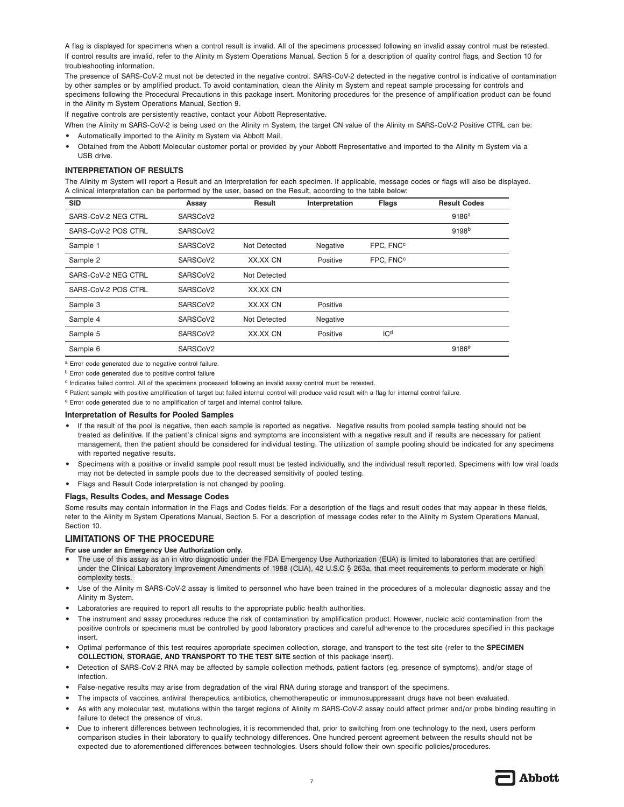A flag is displayed for specimens when a control result is invalid. All of the specimens processed following an invalid assay control must be retested. If control results are invalid, refer to the Alinity m System Operations Manual, Section 5 for a description of quality control flags, and Section 10 for troubleshooting information.

The presence of SARS-CoV-2 must not be detected in the negative control. SARS-CoV-2 detected in the negative control is indicative of contamination by other samples or by amplified product. To avoid contamination, clean the Alinity m System and repeat sample processing for controls and specimens following the Procedural Precautions in this package insert. Monitoring procedures for the presence of amplification product can be found in the Alinity m System Operations Manual, Section 9.

If negative controls are persistently reactive, contact your Abbott Representative.

When the Alinity m SARS-CoV-2 is being used on the Alinity m System, the target CN value of the Alinity m SARS-CoV-2 Positive CTRL can be:

- **•** Automatically imported to the Alinity m System via Abbott Mail.
- **•** Obtained from the Abbott Molecular customer portal or provided by your Abbott Representative and imported to the Alinity m System via a USB drive.

## **INTERPRETATION OF RESULTS**

The Alinity m System will report a Result and an Interpretation for each specimen. If applicable, message codes or flags will also be displayed. A clinical interpretation can be performed by the user, based on the Result, according to the table below:

| <b>SID</b>          | Assay    | <b>Result</b> | Interpretation | <b>Flags</b>          | <b>Result Codes</b> |
|---------------------|----------|---------------|----------------|-----------------------|---------------------|
| SARS-CoV-2 NEG CTRL | SARSCoV2 |               |                |                       | 9186 <sup>a</sup>   |
| SARS-CoV-2 POS CTRL | SARSCoV2 |               |                |                       | 9198 <sup>b</sup>   |
| Sample 1            | SARSCoV2 | Not Detected  | Negative       | FPC, FNC <sup>c</sup> |                     |
| Sample 2            | SARSCoV2 | XX.XX CN      | Positive       | FPC, FNC <sup>c</sup> |                     |
| SARS-CoV-2 NEG CTRL | SARSCoV2 | Not Detected  |                |                       |                     |
| SARS-CoV-2 POS CTRL | SARSCoV2 | XX.XX CN      |                |                       |                     |
| Sample 3            | SARSCoV2 | XX.XX CN      | Positive       |                       |                     |
| Sample 4            | SARSCoV2 | Not Detected  | Negative       |                       |                     |
| Sample 5            | SARSCoV2 | XX.XX CN      | Positive       | ICd                   |                     |
| Sample 6            | SARSCoV2 |               |                |                       | 9186 <sup>e</sup>   |

a Error code generated due to negative control failure.

b Error code generated due to positive control failure

c Indicates failed control. All of the specimens processed following an invalid assay control must be retested.

<sup>d</sup> Patient sample with positive amplification of target but failed internal control will produce valid result with a flag for internal control failure.

e Error code generated due to no amplification of target and internal control failure.

## **Interpretation of Results for Pooled Samples**

- **•** If the result of the pool is negative, then each sample is reported as negative. Negative results from pooled sample testing should not be treated as definitive. If the patient's clinical signs and symptoms are inconsistent with a negative result and if results are necessary for patient management, then the patient should be considered for individual testing. The utilization of sample pooling should be indicated for any specimens with reported negative results.
- **•** Specimens with a positive or invalid sample pool result must be tested individually, and the individual result reported. Specimens with low viral loads may not be detected in sample pools due to the decreased sensitivity of pooled testing.
- **•** Flags and Result Code interpretation is not changed by pooling.

## **Flags, Results Codes, and Message Codes**

Some results may contain information in the Flags and Codes fields. For a description of the flags and result codes that may appear in these fields, refer to the Alinity m System Operations Manual, Section 5. For a description of message codes refer to the Alinity m System Operations Manual, Section 10.

## **LIMITATIONS OF THE PROCEDURE**

## **For use under an Emergency Use Authorization only.**

- **•** The use of this assay as an in vitro diagnostic under the FDA Emergency Use Authorization (EUA) is limited to laboratories that are certified under the Clinical Laboratory Improvement Amendments of 1988 (CLIA), 42 U.S.C § 263a, that meet requirements to perform moderate or high complexity tests.
- **•** Use of the Alinity m SARS-CoV-2 assay is limited to personnel who have been trained in the procedures of a molecular diagnostic assay and the Alinity m System.
- **•** Laboratories are required to report all results to the appropriate public health authorities.
- **•** The instrument and assay procedures reduce the risk of contamination by amplification product. However, nucleic acid contamination from the positive controls or specimens must be controlled by good laboratory practices and careful adherence to the procedures specified in this package insert.
- **•** Optimal performance of this test requires appropriate specimen collection, storage, and transport to the test site (refer to the **SPECIMEN COLLECTION, STORAGE, AND TRANSPORT TO THE TEST SITE** section of this package insert).
- **•** Detection of SARS-CoV-2 RNA may be affected by sample collection methods, patient factors (eg, presence of symptoms), and/or stage of infection.
- **•** False-negative results may arise from degradation of the viral RNA during storage and transport of the specimens.
- **•** The impacts of vaccines, antiviral therapeutics, antibiotics, chemotherapeutic or immunosuppressant drugs have not been evaluated.
- **•** As with any molecular test, mutations within the target regions of Alinity m SARS-CoV-2 assay could affect primer and/or probe binding resulting in failure to detect the presence of virus.
- **•** Due to inherent differences between technologies, it is recommended that, prior to switching from one technology to the next, users perform comparison studies in their laboratory to qualify technology differences. One hundred percent agreement between the results should not be expected due to aforementioned differences between technologies. Users should follow their own specific policies/procedures.

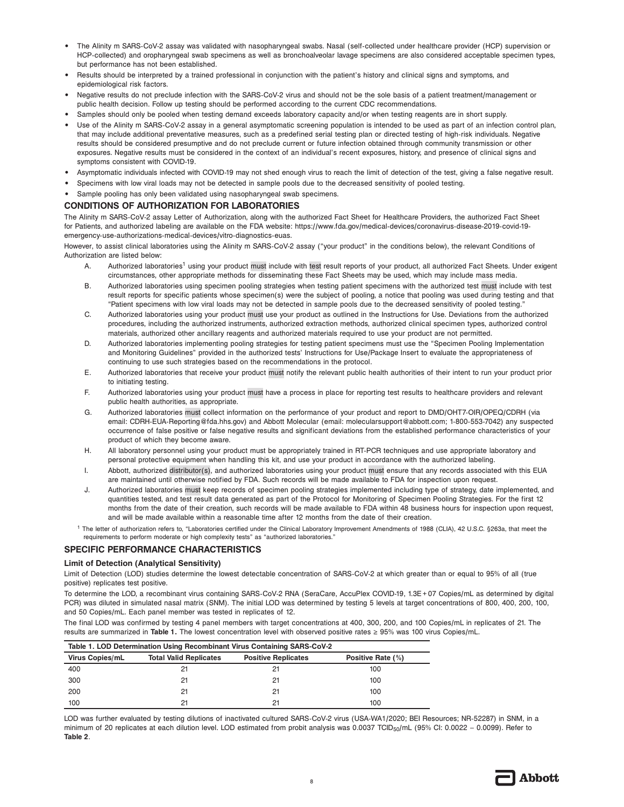- **•** The Alinity m SARS-CoV-2 assay was validated with nasopharyngeal swabs. Nasal (self-collected under healthcare provider (HCP) supervision or HCP-collected) and oropharyngeal swab specimens as well as bronchoalveolar lavage specimens are also considered acceptable specimen types, but performance has not been established.
- **•** Results should be interpreted by a trained professional in conjunction with the patient's history and clinical signs and symptoms, and epidemiological risk factors.
- **•** Negative results do not preclude infection with the SARS-CoV-2 virus and should not be the sole basis of a patient treatment/management or public health decision. Follow up testing should be performed according to the current CDC recommendations.
- **•** Samples should only be pooled when testing demand exceeds laboratory capacity and/or when testing reagents are in short supply.
- **•** Use of the Alinity m SARS-CoV-2 assay in a general asymptomatic screening population is intended to be used as part of an infection control plan, that may include additional preventative measures, such as a predefined serial testing plan or directed testing of high-risk individuals. Negative results should be considered presumptive and do not preclude current or future infection obtained through community transmission or other exposures. Negative results must be considered in the context of an individual's recent exposures, history, and presence of clinical signs and symptoms consistent with COVID-19.
- **•** Asymptomatic individuals infected with COVID-19 may not shed enough virus to reach the limit of detection of the test, giving a false negative result.
- **•** Specimens with low viral loads may not be detected in sample pools due to the decreased sensitivity of pooled testing.
- **•** Sample pooling has only been validated using nasopharyngeal swab specimens.

## **CONDITIONS OF AUTHORIZATION FOR LABORATORIES**

The Alinity m SARS-CoV-2 assay Letter of Authorization, along with the authorized Fact Sheet for Healthcare Providers, the authorized Fact Sheet for Patients, and authorized labeling are available on the FDA website: https://www.fda.gov/medical-devices/coronavirus-disease-2019-covid-19 emergency-use-authorizations-medical-devices/vitro-diagnostics-euas.

However, to assist clinical laboratories using the Alinity m SARS-CoV-2 assay ("your product" in the conditions below), the relevant Conditions of Authorization are listed below:

- A. Authorized laboratories<sup>1</sup> using your product must include with test result reports of your product, all authorized Fact Sheets. Under exigent circumstances, other appropriate methods for disseminating these Fact Sheets may be used, which may include mass media.
- B. Authorized laboratories using specimen pooling strategies when testing patient specimens with the authorized test must include with test result reports for specific patients whose specimen(s) were the subject of pooling, a notice that pooling was used during testing and that "Patient specimens with low viral loads may not be detected in sample pools due to the decreased sensitivity of pooled testing."
- C. Authorized laboratories using your product must use your product as outlined in the Instructions for Use. Deviations from the authorized procedures, including the authorized instruments, authorized extraction methods, authorized clinical specimen types, authorized control materials, authorized other ancillary reagents and authorized materials required to use your product are not permitted.
- D. Authorized laboratories implementing pooling strategies for testing patient specimens must use the "Specimen Pooling Implementation and Monitoring Guidelines" provided in the authorized tests' Instructions for Use/Package Insert to evaluate the appropriateness of continuing to use such strategies based on the recommendations in the protocol.
- E. Authorized laboratories that receive your product must notify the relevant public health authorities of their intent to run your product prior to initiating testing.
- F. Authorized laboratories using your product must have a process in place for reporting test results to healthcare providers and relevant public health authorities, as appropriate.
- G. Authorized laboratories must collect information on the performance of your product and report to DMD/OHT7-OIR/OPEQ/CDRH (via email: CDRH-EUA-Reporting@fda.hhs.gov) and Abbott Molecular (email: molecularsupport@abbott.com; 1-800-553-7042) any suspected occurrence of false positive or false negative results and significant deviations from the established performance characteristics of your product of which they become aware.
- H. All laboratory personnel using your product must be appropriately trained in RT-PCR techniques and use appropriate laboratory and personal protective equipment when handling this kit, and use your product in accordance with the authorized labeling.
- I. Abbott, authorized distributor(s), and authorized laboratories using your product must ensure that any records associated with this EUA are maintained until otherwise notified by FDA. Such records will be made available to FDA for inspection upon request.
- J. Authorized laboratories must keep records of specimen pooling strategies implemented including type of strategy, date implemented, and quantities tested, and test result data generated as part of the Protocol for Monitoring of Specimen Pooling Strategies. For the first 12 months from the date of their creation, such records will be made available to FDA within 48 business hours for inspection upon request, and will be made available within a reasonable time after 12 months from the date of their creation.
- 1 The letter of authorization refers to, "Laboratories certified under the Clinical Laboratory Improvement Amendments of 1988 (CLIA), 42 U.S.C. §263a, that meet the requirements to perform moderate or high complexity tests" as "authorized laboratories."

## **SPECIFIC PERFORMANCE CHARACTERISTICS**

## **Limit of Detection (Analytical Sensitivity)**

Limit of Detection (LOD) studies determine the lowest detectable concentration of SARS-CoV-2 at which greater than or equal to 95% of all (true positive) replicates test positive.

To determine the LOD, a recombinant virus containing SARS-CoV-2 RNA (SeraCare, AccuPlex COVID-19, 1.3E+07 Copies/mL as determined by digital PCR) was diluted in simulated nasal matrix (SNM). The initial LOD was determined by testing 5 levels at target concentrations of 800, 400, 200, 100, and 50 Copies/mL. Each panel member was tested in replicates of 12.

The final LOD was confirmed by testing 4 panel members with target concentrations at 400, 300, 200, and 100 Copies/mL in replicates of 21. The results are summarized in **Table 1.** The lowest concentration level with observed positive rates ≥ 95% was 100 virus Copies/mL.

| Table 1. LOD Determination Using Recombinant Virus Containing SARS-CoV-2 |                               |                            |                   |
|--------------------------------------------------------------------------|-------------------------------|----------------------------|-------------------|
| Virus Copies/mL                                                          | <b>Total Valid Replicates</b> | <b>Positive Replicates</b> | Positive Rate (%) |
| 400                                                                      | 21                            | 21                         | 100               |
| 300                                                                      | 21                            | 21                         | 100               |
| 200                                                                      | 21                            | 21                         | 100               |
| 100                                                                      | 21                            | 21                         | 100               |

LOD was further evaluated by testing dilutions of inactivated cultured SARS-CoV-2 virus (USA-WA1/2020; BEI Resources; NR-52287) in SNM, in a minimum of 20 replicates at each dilution level. LOD estimated from probit analysis was 0.0037 TCID<sub>50</sub>/mL (95% CI: 0.0022 - 0.0099). Refer to **Table 2**.

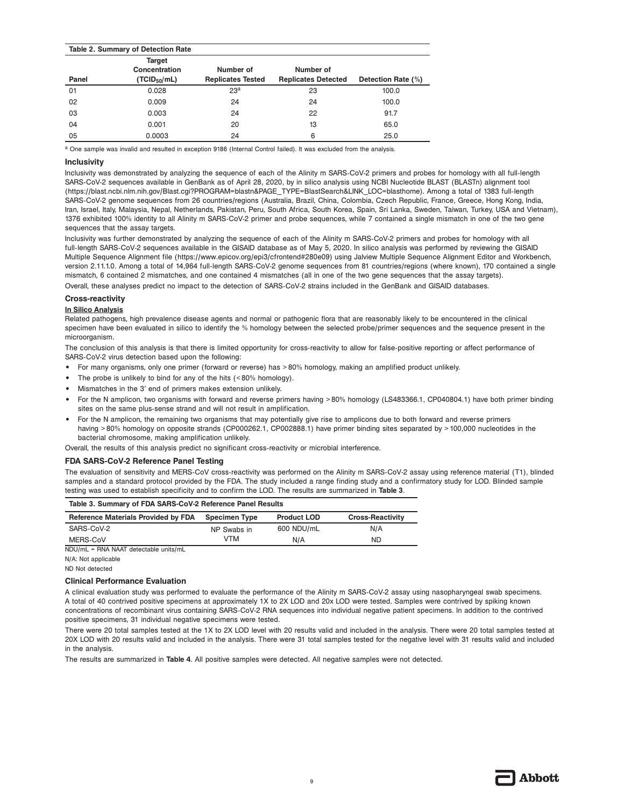|       | <b>Table 2. Summary of Detection Rate</b>           |                                       |                                         |                    |
|-------|-----------------------------------------------------|---------------------------------------|-----------------------------------------|--------------------|
| Panel | Target<br>Concentration<br>(TCID <sub>50</sub> /mL) | Number of<br><b>Replicates Tested</b> | Number of<br><b>Replicates Detected</b> | Detection Rate (%) |
| 01    | 0.028                                               | 23 <sup>a</sup>                       | 23                                      | 100.0              |
| 02    | 0.009                                               | 24                                    | 24                                      | 100.0              |
| 03    | 0.003                                               | 24                                    | 22                                      | 91.7               |
| 04    | 0.001                                               | 20                                    | 13                                      | 65.0               |
| 05    | 0.0003                                              | 24                                    | 6                                       | 25.0               |

a One sample was invalid and resulted in exception 9186 (Internal Control failed). It was excluded from the analysis.

## **Inclusivity**

Inclusivity was demonstrated by analyzing the sequence of each of the Alinity m SARS-CoV-2 primers and probes for homology with all full-length SARS-CoV-2 sequences available in GenBank as of April 28, 2020, by in silico analysis using NCBI Nucleotide BLAST (BLASTn) alignment tool (https://blast.ncbi.nlm.nih.gov/Blast.cgi?PROGRAM=blastn&PAGE\_TYPE=BlastSearch&LINK\_LOC=blasthome). Among a total of 1383 full-length SARS-CoV-2 genome sequences from 26 countries/regions (Australia, Brazil, China, Colombia, Czech Republic, France, Greece, Hong Kong, India, Iran, Israel, Italy, Malaysia, Nepal, Netherlands, Pakistan, Peru, South Africa, South Korea, Spain, Sri Lanka, Sweden, Taiwan, Turkey, USA and Vietnam), 1376 exhibited 100% identity to all Alinity m SARS-CoV-2 primer and probe sequences, while 7 contained a single mismatch in one of the two gene sequences that the assay targets.

Inclusivity was further demonstrated by analyzing the sequence of each of the Alinity m SARS-CoV-2 primers and probes for homology with all full-length SARS-CoV-2 sequences available in the GISAID database as of May 5, 2020. In silico analysis was performed by reviewing the GISAID Multiple Sequence Alignment file (https://www.epicov.org/epi3/cfrontend#280e09) using Jalview Multiple Sequence Alignment Editor and Workbench, version 2.11.1.0. Among a total of 14,964 full-length SARS-CoV-2 genome sequences from 81 countries/regions (where known), 170 contained a single mismatch, 6 contained 2 mismatches, and one contained 4 mismatches (all in one of the two gene sequences that the assay targets). Overall, these analyses predict no impact to the detection of SARS-CoV-2 strains included in the GenBank and GISAID databases.

#### **Cross-reactivity**

## **In Silico Analysis**

Related pathogens, high prevalence disease agents and normal or pathogenic flora that are reasonably likely to be encountered in the clinical specimen have been evaluated in silico to identify the % homology between the selected probe/primer sequences and the sequence present in the microorganism.

The conclusion of this analysis is that there is limited opportunity for cross-reactivity to allow for false-positive reporting or affect performance of SARS-CoV-2 virus detection based upon the following:

- **•** For many organisms, only one primer (forward or reverse) has >80% homology, making an amplified product unlikely.
- The probe is unlikely to bind for any of the hits (<80% homology).
- **•** Mismatches in the 3′ end of primers makes extension unlikely.
- **•** For the N amplicon, two organisms with forward and reverse primers having >80% homology (LS483366.1, CP040804.1) have both primer binding sites on the same plus-sense strand and will not result in amplification.
- **•** For the N amplicon, the remaining two organisms that may potentially give rise to amplicons due to both forward and reverse primers having >80% homology on opposite strands (CP000262.1, CP002888.1) have primer binding sites separated by >100,000 nucleotides in the bacterial chromosome, making amplification unlikely.

Overall, the results of this analysis predict no significant cross-reactivity or microbial interference.

#### **FDA SARS-CoV-2 Reference Panel Testing**

The evaluation of sensitivity and MERS-CoV cross-reactivity was performed on the Alinity m SARS-CoV-2 assay using reference material (T1), blinded samples and a standard protocol provided by the FDA. The study included a range finding study and a confirmatory study for LOD. Blinded sample testing was used to establish specificity and to confirm the LOD. The results are summarized in **Table 3**.

| Table 3. Summary of FDA SARS-CoV-2 Reference Panel Results |                      |                    |                         |  |
|------------------------------------------------------------|----------------------|--------------------|-------------------------|--|
| <b>Reference Materials Provided by FDA</b>                 | <b>Specimen Type</b> | <b>Product LOD</b> | <b>Cross-Reactivity</b> |  |
| SARS-CoV-2                                                 | NP Swabs in          | 600 NDU/mL         | N/A                     |  |
| MERS-CoV                                                   | VTM                  | N/A                | ND                      |  |

NDU/mL = RNA NAAT detectable units/mL

N/A: Not applicable

ND Not detected

## **Clinical Performance Evaluation**

A clinical evaluation study was performed to evaluate the performance of the Alinity m SARS-CoV-2 assay using nasopharyngeal swab specimens. A total of 40 contrived positive specimens at approximately 1X to 2X LOD and 20x LOD were tested. Samples were contrived by spiking known concentrations of recombinant virus containing SARS-CoV-2 RNA sequences into individual negative patient specimens. In addition to the contrived positive specimens, 31 individual negative specimens were tested.

There were 20 total samples tested at the 1X to 2X LOD level with 20 results valid and included in the analysis. There were 20 total samples tested at 20X LOD with 20 results valid and included in the analysis. There were 31 total samples tested for the negative level with 31 results valid and included in the analysis.

The results are summarized in **Table 4**. All positive samples were detected. All negative samples were not detected.

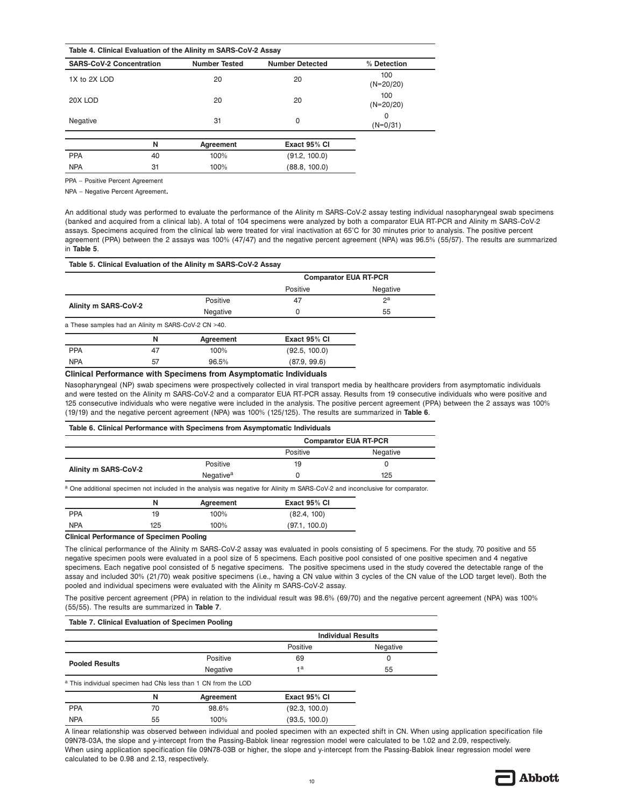| Table 4. Clinical Evaluation of the Alinity m SARS-CoV-2 Assay |    |                      |                        |                    |  |
|----------------------------------------------------------------|----|----------------------|------------------------|--------------------|--|
| <b>SARS-CoV-2 Concentration</b>                                |    | <b>Number Tested</b> | <b>Number Detected</b> | % Detection        |  |
| 1X to 2X LOD                                                   |    | 20                   | 20                     | 100<br>$(N=20/20)$ |  |
| 20X LOD                                                        |    | 20                   | 20                     | 100<br>$(N=20/20)$ |  |
| Negative                                                       |    | 31                   | 0                      | 0<br>$(N=0/31)$    |  |
|                                                                | N  | Agreement            | Exact 95% CI           |                    |  |
| <b>PPA</b>                                                     | 40 | 100%                 | (91.2, 100.0)          |                    |  |
| <b>NPA</b>                                                     | 31 | 100%                 | (88.8.100.0)           |                    |  |

PPA – Positive Percent Agreement

NPA – Negative Percent Agreement**.**

An additional study was performed to evaluate the performance of the Alinity m SARS-CoV-2 assay testing individual nasopharyngeal swab specimens (banked and acquired from a clinical lab). A total of 104 specimens were analyzed by both a comparator EUA RT-PCR and Alinity m SARS-CoV-2 assays. Specimens acquired from the clinical lab were treated for viral inactivation at 65°C for 30 minutes prior to analysis. The positive percent agreement (PPA) between the 2 assays was 100% (47/47) and the negative percent agreement (NPA) was 96.5% (55/57). The results are summarized in **Table 5**.

|                                                     |    |           | <b>Comparator EUA RT-PCR</b> |          |
|-----------------------------------------------------|----|-----------|------------------------------|----------|
|                                                     |    |           | Positive                     | Negative |
| Alinity m SARS-CoV-2                                |    | Positive  | 47                           | $2^a$    |
|                                                     |    | Negative  | 0                            | 55       |
| a These samples had an Alinity m SARS-CoV-2 CN >40. |    |           |                              |          |
|                                                     | N  | Agreement | Exact 95% CI                 |          |
| <b>PPA</b>                                          | 47 | 100%      | (92.5, 100.0)                |          |
| <b>NPA</b>                                          | 57 | 96.5%     | (87.9, 99.6)                 |          |
|                                                     |    |           |                              |          |

## **Clinical Performance with Specimens from Asymptomatic Individuals**

Nasopharyngeal (NP) swab specimens were prospectively collected in viral transport media by healthcare providers from asymptomatic individuals and were tested on the Alinity m SARS-CoV-2 and a comparator EUA RT-PCR assay. Results from 19 consecutive individuals who were positive and 125 consecutive individuals who were negative were included in the analysis. The positive percent agreement (PPA) between the 2 assays was 100% (19/19) and the negative percent agreement (NPA) was 100% (125/125). The results are summarized in **Table 6**.

#### **Table 6. Clinical Performance with Specimens from Asymptomatic Individuals**

|                      | <b>Comparator EUA RT-PCR</b> |          |          |
|----------------------|------------------------------|----------|----------|
|                      |                              | Positive | Negative |
|                      | Positive                     | 19       |          |
| Alinity m SARS-CoV-2 | Negative <sup>a</sup>        |          | 125      |

a One additional specimen not included in the analysis was negative for Alinity m SARS-CoV-2 and inconclusive for comparator.

|            |     | Agreement | Exact 95% CI  |
|------------|-----|-----------|---------------|
| <b>PPA</b> | 19  | 100%      | (82.4, 100)   |
| <b>NPA</b> | 125 | 100%      | (97.1, 100.0) |

**Clinical Performance of Specimen Pooling** 

The clinical performance of the Alinity m SARS-CoV-2 assay was evaluated in pools consisting of 5 specimens. For the study, 70 positive and 55 negative specimen pools were evaluated in a pool size of 5 specimens. Each positive pool consisted of one positive specimen and 4 negative specimens. Each negative pool consisted of 5 negative specimens. The positive specimens used in the study covered the detectable range of the assay and included 30% (21/70) weak positive specimens (i.e., having a CN value within 3 cycles of the CN value of the LOD target level). Both the pooled and individual specimens were evaluated with the Alinity m SARS-CoV-2 assay.

The positive percent agreement (PPA) in relation to the individual result was 98.6% (69/70) and the negative percent agreement (NPA) was 100% (55/55). The results are summarized in **Table 7**.

#### **Table 7. Clinical Evaluation of Specimen Pooling**

|                       |    |                                                                | <b>Individual Results</b> |          |  |
|-----------------------|----|----------------------------------------------------------------|---------------------------|----------|--|
|                       |    |                                                                | Positive                  | Negative |  |
| <b>Pooled Results</b> |    | Positive                                                       | 69                        | 0        |  |
|                       |    | Negative                                                       | 1a                        | 55       |  |
|                       |    | a This individual specimen had CNs less than 1 CN from the LOD |                           |          |  |
|                       | N  | Agreement                                                      | Exact 95% CI              |          |  |
| <b>PPA</b>            | 70 | 98.6%                                                          | (92.3, 100.0)             |          |  |
| <b>NPA</b>            | 55 | 100%                                                           | (93.5, 100.0)             |          |  |

A linear relationship was observed between individual and pooled specimen with an expected shift in CN. When using application specification file 09N78-03A, the slope and y-intercept from the Passing-Bablok linear regression model were calculated to be 1.02 and 2.09, respectively. When using application specification file 09N78-03B or higher, the slope and y-intercept from the Passing-Bablok linear regression model were calculated to be 0.98 and 2.13, respectively.

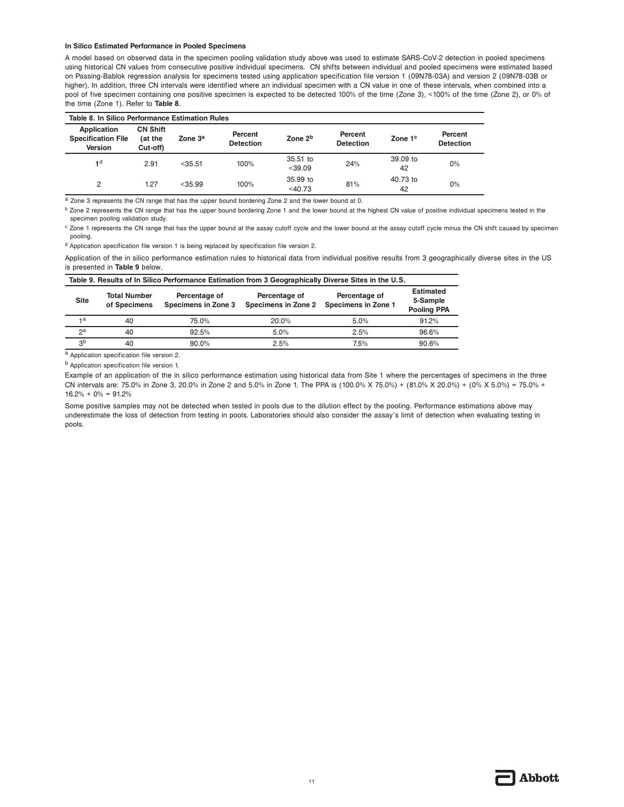#### **In Silico Estimated Performance in Pooled Specimens**

A model based on observed data in the specimen pooling validation study above was used to estimate SARS-CoV-2 detection in pooled specimens using historical CN values from consecutive positive individual specimens. CN shifts between individual and pooled specimens were estimated based on Passing-Bablok regression analysis for specimens tested using application specification file version 1 (09N78-03A) and version 2 (09N78-03B or higher). In addition, three CN intervals were identified where an individual specimen with a CN value in one of these intervals, when combined into a pool of five specimen containing one positive specimen is expected to be detected 100% of the time (Zone 3), <100% of the time (Zone 2), or 0% of the time (Zone 1). Refer to **Table 8**.

| Table 8. In Silico Performance Estimation Rules            |                                        |                     |                             |                       |                             |                     |                             |
|------------------------------------------------------------|----------------------------------------|---------------------|-----------------------------|-----------------------|-----------------------------|---------------------|-----------------------------|
| Application<br><b>Specification File</b><br><b>Version</b> | <b>CN Shift</b><br>(at the<br>Cut-off) | Zone 3 <sup>a</sup> | Percent<br><b>Detection</b> | Zone 2 <sup>b</sup>   | Percent<br><b>Detection</b> | Zone 1 <sup>c</sup> | Percent<br><b>Detection</b> |
| 1 <sup>d</sup>                                             | 2.91                                   | $<$ 35.51           | 100%                        | 35.51 to<br>$<$ 39.09 | 24%                         | 39.09 to<br>42      | $0\%$                       |
| 2                                                          | 1.27                                   | $<$ 35.99           | 100%                        | 35.99 to<br>$<$ 40.73 | 81%                         | 40.73 to<br>42      | $0\%$                       |

a Zone 3 represents the CN range that has the upper bound bordering Zone 2 and the lower bound at 0.

<sup>b</sup> Zone 2 represents the CN range that has the upper bound bordering Zone 1 and the lower bound at the highest CN value of positive individual specimens tested in the specimen pooling validation study.

<sup>c</sup> Zone 1 represents the CN range that has the upper bound at the assay cutoff cycle and the lower bound at the assay cutoff cycle minus the CN shift caused by specimen pooling.

d Application specification file version 1 is being replaced by specification file version 2.

Application of the in silico performance estimation rules to historical data from individual positive results from 3 geographically diverse sites in the US is presented in **Table 9** below.

| Table 9. Results of In Silico Performance Estimation from 3 Geographically Diverse Sites in the U.S. |                                     |                                      |                                      |                                      |                                                    |
|------------------------------------------------------------------------------------------------------|-------------------------------------|--------------------------------------|--------------------------------------|--------------------------------------|----------------------------------------------------|
| <b>Site</b>                                                                                          | <b>Total Number</b><br>of Specimens | Percentage of<br>Specimens in Zone 3 | Percentage of<br>Specimens in Zone 2 | Percentage of<br>Specimens in Zone 1 | <b>Estimated</b><br>5-Sample<br><b>Pooling PPA</b> |
| 1a                                                                                                   | 40                                  | 75.0%                                | 20.0%                                | 5.0%                                 | 91.2%                                              |
| 2 <sup>a</sup>                                                                                       | 40                                  | 92.5%                                | 5.0%                                 | 2.5%                                 | 96.6%                                              |
| 3 <sup>b</sup>                                                                                       | 40                                  | 90.0%                                | 2.5%                                 | 7.5%                                 | 90.6%                                              |

a Application specification file version 2.

b Application specification file version 1.

Example of an application of the in silico performance estimation using historical data from Site 1 where the percentages of specimens in the three CN intervals are: 75.0% in Zone 3, 20.0% in Zone 2 and 5.0% in Zone 1. The PPA is (100.0% X 75.0%) + (81.0% X 20.0%) + (0% X 5.0%) = 75.0% +  $16.2\% + 0\% = 91.2\%$ 

Some positive samples may not be detected when tested in pools due to the dilution effect by the pooling. Performance estimations above may underestimate the loss of detection from testing in pools. Laboratories should also consider the assay's limit of detection when evaluating testing in pools.

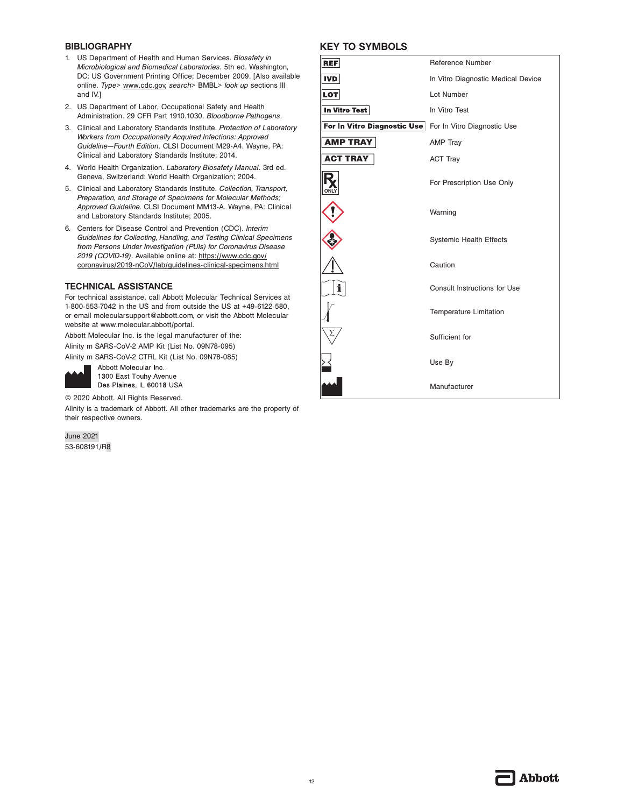## **BIBLIOGRAPHY**

- 1. US Department of Health and Human Services. *Biosafety in Microbiological and Biomedical Laboratories*. 5th ed. Washington, DC: US Government Printing Office; December 2009. [Also available online. *Type*> www.cdc.gov, *search*> BMBL> *look up* sections III and IV.]
- 2. US Department of Labor, Occupational Safety and Health Administration. 29 CFR Part 1910.1030. *Bloodborne Pathogens*.
- 3. Clinical and Laboratory Standards Institute. *Protection of Laboratory Workers from Occupationally Acquired Infections: Approved Guideline—Fourth Edition*. CLSI Document M29-A4. Wayne, PA: Clinical and Laboratory Standards Institute; 2014.
- 4. World Health Organization. *Laboratory Biosafety Manual*. 3rd ed. Geneva, Switzerland: World Health Organization; 2004.
- 5. Clinical and Laboratory Standards Institute. *Collection, Transport, Preparation, and Storage of Specimens for Molecular Methods; Approved Guideline.* CLSI Document MM13-A. Wayne, PA: Clinical and Laboratory Standards Institute; 2005.
- 6. Centers for Disease Control and Prevention (CDC). *Interim Guidelines for Collecting, Handling, and Testing Clinical Specimens from Persons Under Investigation (PUIs) for Coronavirus Disease 2019 (COVID-19)*. Available online at: https://www.cdc.gov/ coronavirus/2019-nCoV/lab/guidelines-clinical-specimens.html

## **TECHNICAL ASSISTANCE**

For technical assistance, call Abbott Molecular Technical Services at 1-800-553-7042 in the US and from outside the US at +49-6122-580, or email molecularsupport@abbott.com, or visit the Abbott Molecular website at www.molecular.abbott/portal.

Abbott Molecular Inc. is the legal manufacturer of the: Alinity m SARS-CoV-2 AMP Kit (List No. 09N78-095) Alinity m SARS-CoV-2 CTRL Kit (List No. 09N78-085)

Abbott Molecular Inc. 1300 East Touhy Avenue Des Plaines, IL 60018 USA

© 2020 Abbott. All Rights Reserved.

Alinity is a trademark of Abbott. All other trademarks are the property of their respective owners.

June 2021 53-608191/R8

## **KEY TO SYMBOLS**

| <b>REF</b>                  | Reference Number                   |
|-----------------------------|------------------------------------|
| IVD                         | In Vitro Diagnostic Medical Device |
| LOT                         | Lot Number                         |
| In Vitro Test               | In Vitro Test                      |
| For In Vitro Diagnostic Use | For In Vitro Diagnostic Use        |
| <b>AMP TRAY</b>             | <b>AMP Tray</b>                    |
| <b>ACT TRAY</b>             | <b>ACT Tray</b>                    |
|                             | For Prescription Use Only          |
|                             | Warning                            |
|                             | <b>Systemic Health Effects</b>     |
|                             | Caution                            |
| i                           | Consult Instructions for Use       |
|                             | <b>Temperature Limitation</b>      |
|                             | Sufficient for                     |
|                             | Use By                             |
|                             | Manufacturer                       |